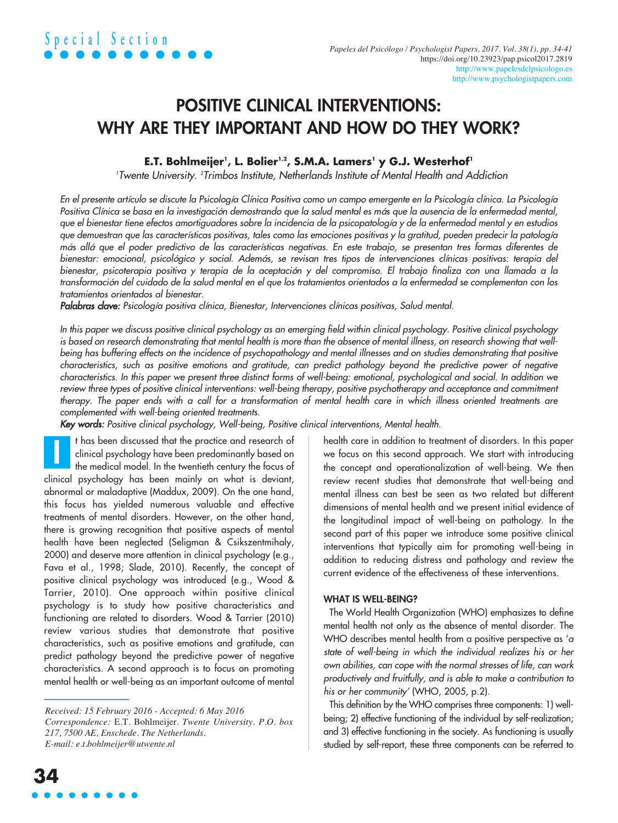# POSITIVE CLINICAL INTERVENTIONS: WHY ARE THEY IMPORTANT AND HOW DO THEY WORK?

# $\mathbf{E}.\mathbf{T}.\mathbf{ B}$ ohlmeijer', L. Bolier'<sup>,</sup>, S.M.A. Lamers' y G.J. Westerhof'

*1 Twente University*. *<sup>2</sup> Trimbos Institute, Netherlands Institute of Mental Health and Addiction*

En el presente artículo se discute la Psicología Clínica Positiva como un campo emergente en la Psicología clínica. La Psicología Positiva Clínica se basa en la investigación demostrando que la salud mental es más que la ausencia de la enfermedad mental, que el bienestar tiene efectos amortiguadores sobre la incidencia de la psicopatología y de la enfermedad mental y en estudios que demuestran que las características positivas, tales como las emociones positivas y la gratitud, pueden predecir la patología más allá que el poder predictivo de las características negativas. En este trabajo, se presentan tres formas diferentes de bienestar: emocional, psicológico y social. Además, se revisan tres tipos de intervenciones clínicas positivas: terapia del bienestar, psicoterapia positiva y terapia de la aceptación y del compromiso. El trabajo finaliza con una llamada a la transformación del cuidado de la salud mental en el que los tratamientos orientados a la enfermedad se complementan con los *tratamientos orientados al bienestar.*

*Palabras clave: Psicología positiva clínica, Bienestar, Intervenciones clínicas positivas, Salud mental.*

In this paper we discuss positive clinical psychology as an emerging field within clinical psychology. Positive clinical psychology is based on research demonstrating that mental health is more than the absence of mental illness, on research showing that wellbeing has buffering effects on the incidence of psychopathology and mental illnesses and on studies demonstrating that positive characteristics, such as positive emotions and gratitude, can predict pathology beyond the predictive power of negative characteristics. In this paper we present three distinct forms of well-being: emotional, psychological and social. In addition we review three types of positive clinical interventions: well-being therapy, positive psychotherapy and acceptance and commitment therapy. The paper ends with a call for a transformation of mental health care in which illness oriented treatments are *complemented with well-being oriented treatments.*

*Key words: Positive clinical psychology, Well-being, Positive clinical interventions, Mental health.*

t has been discussed that the practice and research of clinical psychology have been predominantly based on the medical model. In the twentieth century the focus of clinical psychology has been mainly on what is deviant, abnormal or maladaptive (Maddux, 2009). On the one hand, this focus has yielded numerous valuable and effective treatments of mental disorders. However, on the other hand, there is growing recognition that positive aspects of mental health have been neglected (Seligman & Csikszentmihaly, 2000) and deserve more attention in clinical psychology (e.g., Fava et al., 1998; Slade, 2010). Recently, the concept of positive clinical psychology was introduced (e.g., Wood & Tarrier, 2010). One approach within positive clinical psychology is to study how positive characteristics and functioning are related to disorders. Wood & Tarrier (2010) review various studies that demonstrate that positive characteristics, such as positive emotions and gratitude, can predict pathology beyond the predictive power of negative characteristics. A second approach is to focus on promoting mental health or well-being as an important outcome of mental I

health care in addition to treatment of disorders. In this paper we focus on this second approach. We start with introducing the concept and operationalization of well-being. We then review recent studies that demonstrate that well-being and mental illness can best be seen as two related but different dimensions of mental health and we present initial evidence of the longitudinal impact of well-being on pathology. In the second part of this paper we introduce some positive clinical interventions that typically aim for promoting well-being in addition to reducing distress and pathology and review the current evidence of the effectiveness of these interventions.

# WHAT IS WELL-BEING?

The World Health Organization (WHO) emphasizes to define mental health not only as the absence of mental disorder. The WHO describes mental health from a positive perspective as '*a state of well-being in which the individual realizes his or her own abilities, can cope with the normal stresses of life, can work productively and fruitfully, and is able to make a contribution to his or her community'* (WHO, 2005, p.2).

This definition by the WHO comprises three components: 1) wellbeing; 2) effective functioning of the individual by self-realization; and 3) effective functioning in the society. As functioning is usually studied by self-report, these three components can be referred to

*Received: 15 February 2016 - Accepted: 6 May 2016 Correspondence:* E.T. Bohlmeijer. *Twente University. P.O. box 217, 7500 AE, Enschede. The Netherlands. E-mail: e.t.bohlmeijer@utwente.nl*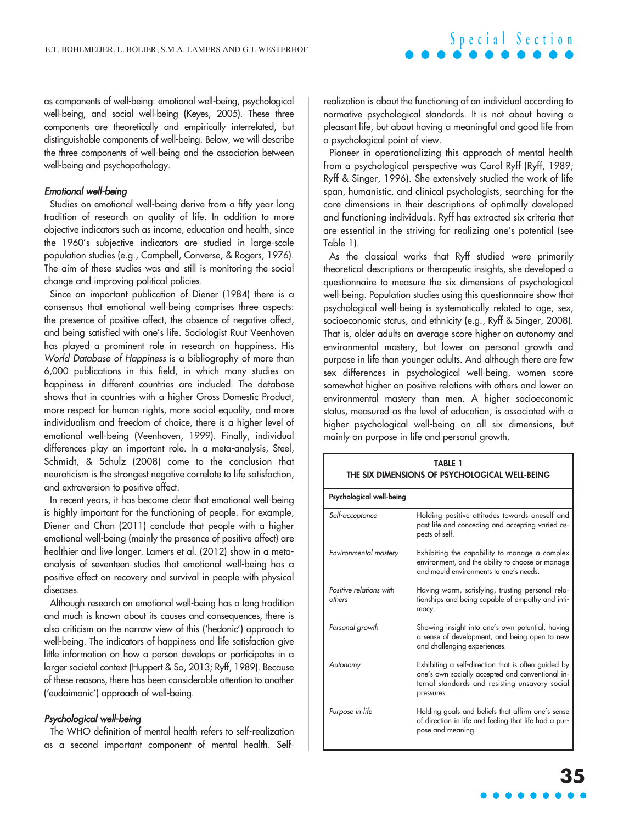as components of well-being: emotional well-being, psychological well-being, and social well-being (Keyes, 2005). These three components are theoretically and empirically interrelated, but distinguishable components of well-being. Below, we will describe the three components of well-being and the association between well-being and psychopathology.

#### *Emotional well-being*

Studies on emotional well-being derive from a fifty year long tradition of research on quality of life. In addition to more objective indicators such as income, education and health, since the 1960's subjective indicators are studied in large-scale population studies (e.g., Campbell, Converse, & Rogers, 1976). The aim of these studies was and still is monitoring the social change and improving political policies.

Since an important publication of Diener (1984) there is a consensus that emotional well-being comprises three aspects: the presence of positive affect, the absence of negative affect, and being satisfied with one's life. Sociologist Ruut Veenhoven has played a prominent role in research on happiness. His *World Database of Happiness* is a bibliography of more than 6,000 publications in this field, in which many studies on happiness in different countries are included. The database shows that in countries with a higher Gross Domestic Product, more respect for human rights, more social equality, and more individualism and freedom of choice, there is a higher level of emotional well-being (Veenhoven, 1999). Finally, individual differences play an important role. In a meta-analysis, Steel, Schmidt, & Schulz (2008) come to the conclusion that neuroticism is the strongest negative correlate to life satisfaction, and extraversion to positive affect.

In recent years, it has become clear that emotional well-being is highly important for the functioning of people. For example, Diener and Chan (2011) conclude that people with a higher emotional well-being (mainly the presence of positive affect) are healthier and live longer. Lamers et al. (2012) show in a metaanalysis of seventeen studies that emotional well-being has a positive effect on recovery and survival in people with physical diseases.

Although research on emotional well-being has a long tradition and much is known about its causes and consequences, there is also criticism on the narrow view of this ('hedonic') approach to well-being. The indicators of happiness and life satisfaction give little information on how a person develops or participates in a larger societal context (Huppert & So, 2013; Ryff, 1989). Because of these reasons, there has been considerable attention to another ('eudaimonic') approach of well-being.

### *Psychological well-being*

The WHO definition of mental health refers to self-realization as a second important component of mental health. Selfrealization is about the functioning of an individual according to normative psychological standards. It is not about having a pleasant life, but about having a meaningful and good life from a psychological point of view.

Pioneer in operationalizing this approach of mental health from a psychological perspective was Carol Ryff (Ryff, 1989; Ryff & Singer, 1996). She extensively studied the work of life span, humanistic, and clinical psychologists, searching for the core dimensions in their descriptions of optimally developed and functioning individuals. Ryff has extracted six criteria that are essential in the striving for realizing one's potential (see Table 1).

As the classical works that Ryff studied were primarily theoretical descriptions or therapeutic insights, she developed a questionnaire to measure the six dimensions of psychological well-being. Population studies using this questionnaire show that psychological well-being is systematically related to age, sex, socioeconomic status, and ethnicity (e.g., Ryff & Singer, 2008). That is, older adults on average score higher on autonomy and environmental mastery, but lower on personal growth and purpose in life than younger adults. And although there are few sex differences in psychological well-being, women score somewhat higher on positive relations with others and lower on environmental mastery than men. A higher socioeconomic status, measured as the level of education, is associated with a higher psychological well-being on all six dimensions, but mainly on purpose in life and personal growth.

| TABLE 1<br>THE SIX DIMENSIONS OF PSYCHOLOGICAL WELL-BEING |                                                                                                                                                                         |
|-----------------------------------------------------------|-------------------------------------------------------------------------------------------------------------------------------------------------------------------------|
| Psychological well-being                                  |                                                                                                                                                                         |
| Self-acceptance                                           | Holding positive attitudes towards oneself and<br>past life and conceding and accepting varied as-<br>pects of self.                                                    |
| Environmental mastery                                     | Exhibiting the capability to manage a complex<br>environment, and the ability to choose or manage<br>and mould environments to one's needs.                             |
| Positive relations with<br>others                         | Having warm, satisfying, trusting personal rela-<br>tionships and being capable of empathy and inti-<br>macy.                                                           |
| Personal growth                                           | Showing insight into one's own potential, having<br>a sense of development, and being open to new<br>and challenging experiences.                                       |
| Autonomy                                                  | Exhibiting a self-direction that is often guided by<br>one's own socially accepted and conventional in-<br>ternal standards and resisting unsavory social<br>pressures. |
| Purpose in life                                           | Holding goals and beliefs that affirm one's sense<br>of direction in life and feeling that life had a pur-<br>pose and meaning.                                         |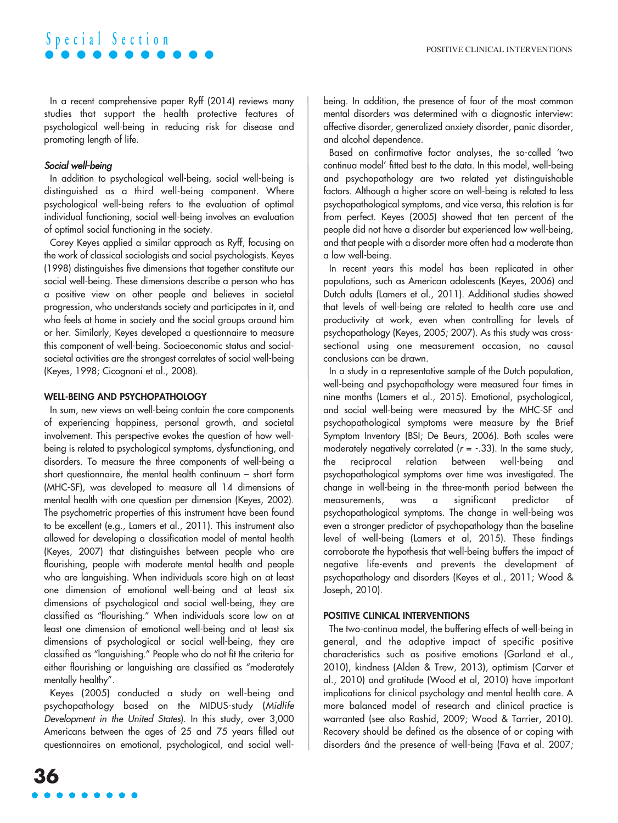# **S p e c i a l S e c t i o n**

In a recent comprehensive paper Ryff (2014) reviews many studies that support the health protective features of psychological well-being in reducing risk for disease and promoting length of life.

# *Social well-being*

In addition to psychological well-being, social well-being is distinguished as a third well-being component. Where psychological well-being refers to the evaluation of optimal individual functioning, social well-being involves an evaluation of optimal social functioning in the society.

Corey Keyes applied a similar approach as Ryff, focusing on the work of classical sociologists and social psychologists. Keyes (1998) distinguishes five dimensions that together constitute our social well-being. These dimensions describe a person who has a positive view on other people and believes in societal progression, who understands society and participates in it, and who feels at home in society and the social groups around him or her. Similarly, Keyes developed a questionnaire to measure this component of well-being. Socioeconomic status and socialsocietal activities are the strongest correlates of social well-being (Keyes, 1998; Cicognani et al., 2008).

## WELL-BEING AND PSYCHOPATHOLOGY

In sum, new views on well-being contain the core components of experiencing happiness, personal growth, and societal involvement. This perspective evokes the question of how wellbeing is related to psychological symptoms, dysfunctioning, and disorders. To measure the three components of well-being a short questionnaire, the mental health continuum – short form (MHC-SF), was developed to measure all 14 dimensions of mental health with one question per dimension (Keyes, 2002). The psychometric properties of this instrument have been found to be excellent (e.g., Lamers et al., 2011). This instrument also allowed for developing a classification model of mental health (Keyes, 2007) that distinguishes between people who are flourishing, people with moderate mental health and people who are languishing. When individuals score high on at least one dimension of emotional well-being and at least six dimensions of psychological and social well-being, they are classified as "flourishing." When individuals score low on at least one dimension of emotional well-being and at least six dimensions of psychological or social well-being, they are classified as "languishing." People who do not fit the criteria for either flourishing or languishing are classified as "moderately mentally healthy".

Keyes (2005) conducted a study on well-being and psychopathology based on the MIDUS-study (*Midlife Development in the United States*). In this study, over 3,000 Americans between the ages of 25 and 75 years filled out questionnaires on emotional, psychological, and social well-

Based on confirmative factor analyses, the so-called 'two continua model' fitted best to the data. In this model, well-being and psychopathology are two related yet distinguishable factors. Although a higher score on well-being is related to less psychopathological symptoms, and vice versa, this relation is far from perfect. Keyes (2005) showed that ten percent of the people did not have a disorder but experienced low well-being, and that people with a disorder more often had a moderate than a low well-being.

In recent years this model has been replicated in other populations, such as American adolescents (Keyes, 2006) and Dutch adults (Lamers et al., 2011). Additional studies showed that levels of well-being are related to health care use and productivity at work, even when controlling for levels of psychopathology (Keyes, 2005; 2007). As this study was crosssectional using one measurement occasion, no causal conclusions can be drawn.

In a study in a representative sample of the Dutch population, well-being and psychopathology were measured four times in nine months (Lamers et al., 2015). Emotional, psychological, and social well-being were measured by the MHC-SF and psychopathological symptoms were measure by the Brief Symptom Inventory (BSI; De Beurs, 2006). Both scales were moderately negatively correlated (*r* = -.33). In the same study, the reciprocal relation between well-being and psychopathological symptoms over time was investigated. The change in well-being in the three-month period between the measurements, was a significant predictor of psychopathological symptoms. The change in well-being was even a stronger predictor of psychopathology than the baseline level of well-being (Lamers et al, 2015). These findings corroborate the hypothesis that well-being buffers the impact of negative life-events and prevents the development of psychopathology and disorders (Keyes et al., 2011; Wood & Joseph, 2010).

### POSITIVE CLINICAL INTERVENTIONS

The two-continua model, the buffering effects of well-being in general, and the adaptive impact of specific positive characteristics such as positive emotions (Garland et al., 2010), kindness (Alden & Trew, 2013), optimism (Carver et al., 2010) and gratitude (Wood et al, 2010) have important implications for clinical psychology and mental health care. A more balanced model of research and clinical practice is warranted (see also Rashid, 2009; Wood & Tarrier, 2010). Recovery should be defined as the absence of or coping with disorders ánd the presence of well-being (Fava et al. 2007;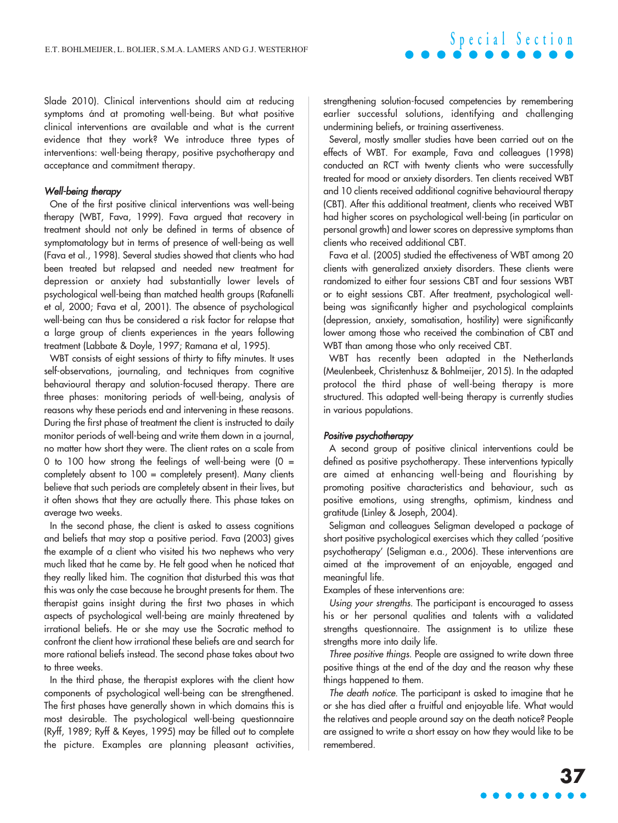Slade 2010). Clinical interventions should aim at reducing symptoms ánd at promoting well-being. But what positive clinical interventions are available and what is the current evidence that they work? We introduce three types of interventions: well-being therapy, positive psychotherapy and acceptance and commitment therapy.

### *Well-being therapy*

One of the first positive clinical interventions was well-being therapy (WBT, Fava, 1999). Fava argued that recovery in treatment should not only be defined in terms of absence of symptomatology but in terms of presence of well-being as well (Fava et al., 1998). Several studies showed that clients who had been treated but relapsed and needed new treatment for depression or anxiety had substantially lower levels of psychological well-being than matched health groups (Rafanelli et al, 2000; Fava et al, 2001). The absence of psychological well-being can thus be considered a risk factor for relapse that a large group of clients experiences in the years following treatment (Labbate & Doyle, 1997; Ramana et al, 1995).

WBT consists of eight sessions of thirty to fifty minutes. It uses self-observations, journaling, and techniques from cognitive behavioural therapy and solution-focused therapy. There are three phases: monitoring periods of well-being, analysis of reasons why these periods end and intervening in these reasons. During the first phase of treatment the client is instructed to daily monitor periods of well-being and write them down in a journal, no matter how short they were. The client rates on a scale from 0 to 100 how strong the feelings of well-being were  $(0 =$ completely absent to 100 = completely present). Many clients believe that such periods are completely absent in their lives, but it often shows that they are actually there. This phase takes on average two weeks.

In the second phase, the client is asked to assess cognitions and beliefs that may stop a positive period. Fava (2003) gives the example of a client who visited his two nephews who very much liked that he came by. He felt good when he noticed that they really liked him. The cognition that disturbed this was that this was only the case because he brought presents for them. The therapist gains insight during the first two phases in which aspects of psychological well-being are mainly threatened by irrational beliefs. He or she may use the Socratic method to confront the client how irrational these beliefs are and search for more rational beliefs instead. The second phase takes about two to three weeks.

In the third phase, the therapist explores with the client how components of psychological well-being can be strengthened. The first phases have generally shown in which domains this is most desirable. The psychological well-being questionnaire (Ryff, 1989; Ryff & Keyes, 1995) may be filled out to complete the picture. Examples are planning pleasant activities, strengthening solution-focused competencies by remembering earlier successful solutions, identifying and challenging undermining beliefs, or training assertiveness.

Several, mostly smaller studies have been carried out on the effects of WBT. For example, Fava and colleagues (1998) conducted an RCT with twenty clients who were successfully treated for mood or anxiety disorders. Ten clients received WBT and 10 clients received additional cognitive behavioural therapy (CBT). After this additional treatment, clients who received WBT had higher scores on psychological well-being (in particular on personal growth) and lower scores on depressive symptoms than clients who received additional CBT.

Fava et al. (2005) studied the effectiveness of WBT among 20 clients with generalized anxiety disorders. These clients were randomized to either four sessions CBT and four sessions WBT or to eight sessions CBT. After treatment, psychological wellbeing was significantly higher and psychological complaints (depression, anxiety, somatisation, hostility) were significantly lower among those who received the combination of CBT and WBT than among those who only received CBT.

WBT has recently been adapted in the Netherlands (Meulenbeek, Christenhusz & Bohlmeijer, 2015). In the adapted protocol the third phase of well-being therapy is more structured. This adapted well-being therapy is currently studies in various populations.

#### *Positive psychotherapy*

A second group of positive clinical interventions could be defined as positive psychotherapy. These interventions typically are aimed at enhancing well-being and flourishing by promoting positive characteristics and behaviour, such as positive emotions, using strengths, optimism, kindness and gratitude (Linley & Joseph, 2004).

Seligman and colleagues Seligman developed a package of short positive psychological exercises which they called 'positive psychotherapy' (Seligman e.a., 2006). These interventions are aimed at the improvement of an enjoyable, engaged and meaningful life.

Examples of these interventions are:

*Using your strengths.* The participant is encouraged to assess his or her personal qualities and talents with a validated strengths questionnaire. The assignment is to utilize these strengths more into daily life.

*Three positive things.* People are assigned to write down three positive things at the end of the day and the reason why these things happened to them.

*The death notice.* The participant is asked to imagine that he or she has died after a fruitful and enjoyable life. What would the relatives and people around say on the death notice? People are assigned to write a short essay on how they would like to be remembered.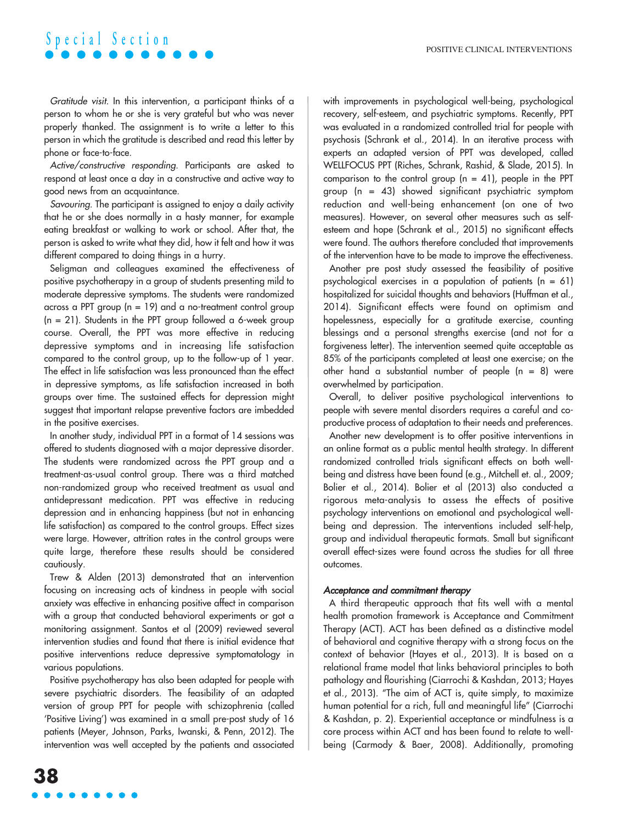# **S p e c i a l S e c t i o n**

*Gratitude visit.* In this intervention, a participant thinks of a person to whom he or she is very grateful but who was never properly thanked. The assignment is to write a letter to this person in which the gratitude is described and read this letter by phone or face-to-face.

*Active/constructive responding.* Participants are asked to respond at least once a day in a constructive and active way to good news from an acquaintance.

*Savouring.* The participant is assigned to enjoy a daily activity that he or she does normally in a hasty manner, for example eating breakfast or walking to work or school. After that, the person is asked to write what they did, how it felt and how it was different compared to doing things in a hurry.

Seligman and colleagues examined the effectiveness of positive psychotherapy in a group of students presenting mild to moderate depressive symptoms. The students were randomized across a PPT group ( $n = 19$ ) and a no-treatment control group  $(n = 21)$ . Students in the PPT group followed a 6-week group course. Overall, the PPT was more effective in reducing depressive symptoms and in increasing life satisfaction compared to the control group, up to the follow-up of 1 year. The effect in life satisfaction was less pronounced than the effect in depressive symptoms, as life satisfaction increased in both groups over time. The sustained effects for depression might suggest that important relapse preventive factors are imbedded in the positive exercises.

In another study, individual PPT in a format of 14 sessions was offered to students diagnosed with a major depressive disorder. The students were randomized across the PPT group and a treatment-as-usual control group. There was a third matched non-randomized group who received treatment as usual and antidepressant medication. PPT was effective in reducing depression and in enhancing happiness (but not in enhancing life satisfaction) as compared to the control groups. Effect sizes were large. However, attrition rates in the control groups were quite large, therefore these results should be considered cautiously.

Trew & Alden (2013) demonstrated that an intervention focusing on increasing acts of kindness in people with social anxiety was effective in enhancing positive affect in comparison with a group that conducted behavioral experiments or got a monitoring assignment. Santos et al (2009) reviewed several intervention studies and found that there is initial evidence that positive interventions reduce depressive symptomatology in various populations.

Positive psychotherapy has also been adapted for people with severe psychiatric disorders. The feasibility of an adapted version of group PPT for people with schizophrenia (called 'Positive Living') was examined in a small pre-post study of 16 patients (Meyer, Johnson, Parks, Iwanski, & Penn, 2012). The intervention was well accepted by the patients and associated with improvements in psychological well-being, psychological recovery, self-esteem, and psychiatric symptoms. Recently, PPT was evaluated in a randomized controlled trial for people with psychosis (Schrank et al., 2014). In an iterative process with experts an adapted version of PPT was developed, called WELLFOCUS PPT (Riches, Schrank, Rashid, & Slade, 2015). In comparison to the control group  $(n = 41)$ , people in the PPT group ( $n = 43$ ) showed significant psychiatric symptom reduction and well-being enhancement (on one of two measures). However, on several other measures such as selfesteem and hope (Schrank et al., 2015) no significant effects were found. The authors therefore concluded that improvements of the intervention have to be made to improve the effectiveness.

Another pre post study assessed the feasibility of positive psychological exercises in a population of patients  $(n = 61)$ hospitalized for suicidal thoughts and behaviors (Huffman et al., 2014). Significant effects were found on optimism and hopelessness, especially for a gratitude exercise, counting blessings and a personal strengths exercise (and not for a forgiveness letter). The intervention seemed quite acceptable as 85% of the participants completed at least one exercise; on the other hand a substantial number of people (n = 8) were overwhelmed by participation.

Overall, to deliver positive psychological interventions to people with severe mental disorders requires a careful and coproductive process of adaptation to their needs and preferences.

Another new development is to offer positive interventions in an online format as a public mental health strategy. In different randomized controlled trials significant effects on both wellbeing and distress have been found (e.g., Mitchell et. al., 2009; Bolier et al., 2014). Bolier et al (2013) also conducted a rigorous meta-analysis to assess the effects of positive psychology interventions on emotional and psychological wellbeing and depression. The interventions included self-help, group and individual therapeutic formats. Small but significant overall effect-sizes were found across the studies for all three outcomes.

### *Acceptance and commitment therapy*

A third therapeutic approach that fits well with a mental health promotion framework is Acceptance and Commitment Therapy (ACT). ACT has been defined as a distinctive model of behavioral and cognitive therapy with a strong focus on the context of behavior (Hayes et al., 2013). It is based on a relational frame model that links behavioral principles to both pathology and flourishing (Ciarrochi & Kashdan, 2013; Hayes et al., 2013). "The aim of ACT is, quite simply, to maximize human potential for a rich, full and meaningful life" (Ciarrochi & Kashdan, p. 2). Experiential acceptance or mindfulness is a core process within ACT and has been found to relate to wellbeing (Carmody & Baer, 2008). Additionally, promoting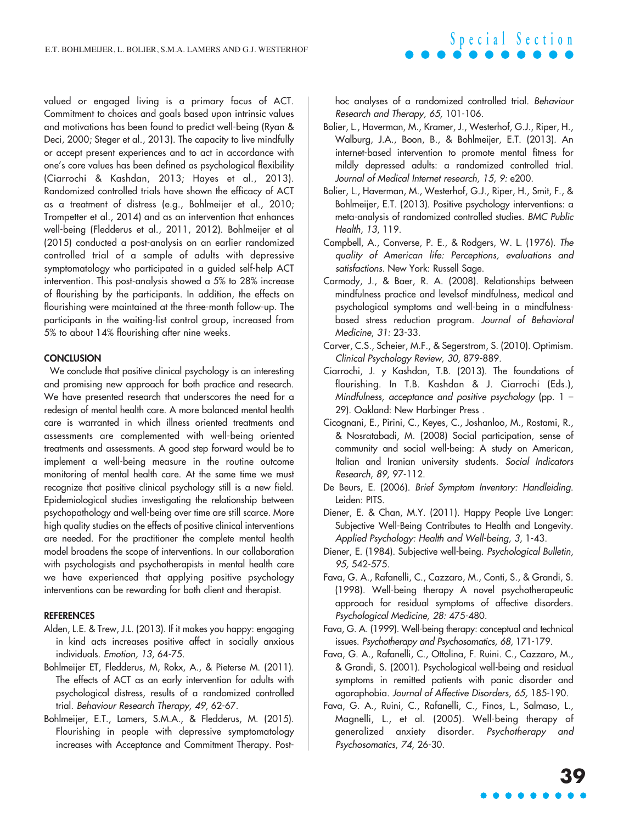valued or engaged living is a primary focus of ACT. Commitment to choices and goals based upon intrinsic values and motivations has been found to predict well-being (Ryan & Deci, 2000; Steger et al., 2013). The capacity to live mindfully or accept present experiences and to act in accordance with one's core values has been defined as psychological flexibility (Ciarrochi & Kashdan, 2013; Hayes et al., 2013). Randomized controlled trials have shown the efficacy of ACT as a treatment of distress (e.g., Bohlmeijer et al., 2010; Trompetter et al., 2014) and as an intervention that enhances well-being (Fledderus et al., 2011, 2012). Bohlmeijer et al (2015) conducted a post-analysis on an earlier randomized controlled trial of a sample of adults with depressive symptomatology who participated in a guided self-help ACT intervention. This post-analysis showed a 5% to 28% increase of flourishing by the participants. In addition, the effects on flourishing were maintained at the three-month follow-up. The participants in the waiting-list control group, increased from 5% to about 14% flourishing after nine weeks.

#### **CONCLUSION**

We conclude that positive clinical psychology is an interesting and promising new approach for both practice and research. We have presented research that underscores the need for a redesign of mental health care. A more balanced mental health care is warranted in which illness oriented treatments and assessments are complemented with well-being oriented treatments and assessments. A good step forward would be to implement a well-being measure in the routine outcome monitoring of mental health care. At the same time we must recognize that positive clinical psychology still is a new field. Epidemiological studies investigating the relationship between psychopathology and well-being over time are still scarce. More high quality studies on the effects of positive clinical interventions are needed. For the practitioner the complete mental health model broadens the scope of interventions. In our collaboration with psychologists and psychotherapists in mental health care we have experienced that applying positive psychology interventions can be rewarding for both client and therapist.

#### REFERENCES

- Alden, L.E. & Trew, J.L. (2013). If it makes you happy: engaging in kind acts increases positive affect in socially anxious individuals. *Emotion, 13*, 64-75.
- Bohlmeijer ET, Fledderus, M, Rokx, A., & Pieterse M. (2011). The effects of ACT as an early intervention for adults with psychological distress, results of a randomized controlled trial. *Behaviour Research Therapy, 49*, 62-67.
- Bohlmeijer, E.T., Lamers, S.M.A., & Fledderus, M. (2015). Flourishing in people with depressive symptomatology increases with Acceptance and Commitment Therapy. Post-

hoc analyses of a randomized controlled trial. *Behaviour Research and Therapy, 65,* 101-106.

**S p e c i a l S e c t i o n**

- Bolier, L., Haverman, M., Kramer, J., Westerhof, G.J., Riper, H., Walburg, J.A., Boon, B., & Bohlmeijer, E.T. (2013). An internet-based intervention to promote mental fitness for mildly depressed adults: a randomized controlled trial. *Journal of Medical Internet research, 15, 9:* e200.
- Bolier, L., Haverman, M., Westerhof, G.J., Riper, H., Smit, F., & Bohlmeijer, E.T. (2013). Positive psychology interventions: a meta-analysis of randomized controlled studies. *BMC Public Health, 13*, 119.
- Campbell, A., Converse, P. E., & Rodgers, W. L. (1976). *The quality of American life: Perceptions, evaluations and satisfactions.* New York: Russell Sage.
- Carmody, J., & Baer, R. A. (2008). Relationships between mindfulness practice and levelsof mindfulness, medical and psychological symptoms and well-being in a mindfulnessbased stress reduction program. *Journal of Behavioral Medicine*, *31:* 23-33.
- Carver, C.S., Scheier, M.F., & Segerstrom, S. (2010). Optimism. *Clinical Psychology Review, 30,* 879-889.
- Ciarrochi, J. y Kashdan, T.B. (2013). The foundations of flourishing. In T.B. Kashdan & J. Ciarrochi (Eds.), *Mindfulness, acceptance and positive psychology* (pp. 1 – 29). Oakland: New Harbinger Press .
- Cicognani, E., Pirini, C., Keyes, C., Joshanloo, M., Rostami, R., & Nosratabadi, M. (2008) Social participation, sense of community and social well-being: A study on American, Italian and Iranian university students. *Social Indicators Research*, *89,* 97-112.
- De Beurs, E. (2006). *Brief Symptom Inventory: Handleiding*. Leiden: PITS.
- Diener, E. & Chan, M.Y. (2011). Happy People Live Longer: Subjective Well-Being Contributes to Health and Longevity. *Applied Psychology: Health and Well-being, 3*, 1-43.
- Diener, E. (1984). Subjective well-being. *Psychological Bulletin*, *95,* 542-575.
- Fava, G. A., Rafanelli, C., Cazzaro, M., Conti, S., & Grandi, S. (1998). Well-being therapy A novel psychotherapeutic approach for residual symptoms of affective disorders. *Psychological Medicine, 28:* 475-480.
- Fava, G. A. (1999). Well-being therapy: conceptual and technical issues. *Psychotherapy and Psychosomatics, 68,* 171-179.
- Fava, G. A., Rafanelli, C., Ottolina, F. Ruini. C., Cazzaro, M., & Grandi, S. (2001). Psychological well-being and residual symptoms in remitted patients with panic disorder and agoraphobia. *Journal of Affective Disorders, 65,* 185-190.
- Fava, G. A., Ruini, C., Rafanelli, C., Finos, L., Salmaso, L., Magnelli, L., et al. (2005). Well-being therapy of generalized anxiety disorder. *Psychotherapy and Psychosomatics*, *74*, 26-30.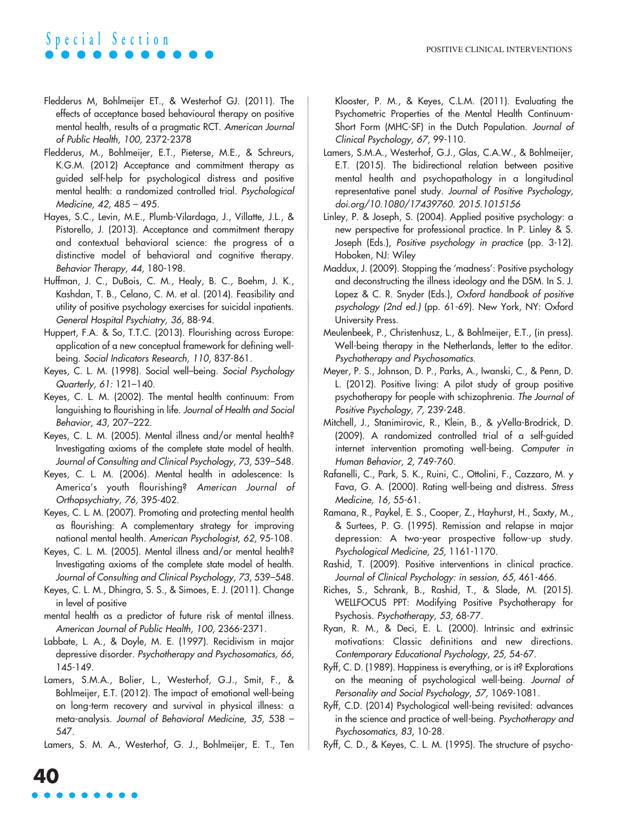# **S p e c i a l S e c t i o n**

- Fledderus M, Bohlmeijer ET., & Westerhof GJ. (2011). The effects of acceptance based behavioural therapy on positive mental health, results of a pragmatic RCT. *American Journal of Public Health, 100,* 2372-2378
- Fledderus, M., Bohlmeijer, E.T., Pieterse, M.E., & Schreurs, K.G.M. (2012) Acceptance and commitment therapy as guided self-help for psychological distress and positive mental health: a randomized controlled trial. *Psychological Medicine, 42*, 485 – 495.
- Hayes, S.C., Levin, M.E., Plumb-Vilardaga, J., Villatte, J.L., & Pistorello, J. (2013). Acceptance and commitment therapy and contextual behavioral science: the progress of a distinctive model of behavioral and cognitive therapy. *Behavior Therapy, 44,* 180-198.
- Huffman, J. C., DuBois, C. M., Healy, B. C., Boehm, J. K., Kashdan, T. B., Celano, C. M. et al. (2014). Feasibility and utility of positive psychology exercises for suicidal inpatients. *General Hospital Psychiatry, 36*, 88-94.
- Huppert, F.A. & So, T.T.C. (2013). Flourishing across Europe: application of a new conceptual framework for defining wellbeing. *Social Indicators Research, 110,* 837-861.
- Keyes, C. L. M. (1998). Social well–being. *Social Psychology Quarterly*, *61:* 121–140.
- Keyes, C. L. M. (2002). The mental health continuum: From languishing to flourishing in life. *Journal of Health and Social Behavior*, *43*, 207–222.
- Keyes, C. L. M. (2005). Mental illness and/or mental health? Investigating axioms of the complete state model of health. *Journal of Consulting and Clinical Psychology*, *73,* 539–548.
- Keyes, C. L. M. (2006). Mental health in adolescence: Is America's youth flourishing? *American Journal of Orthopsychiatry*, *76,* 395-402.
- Keyes, C. L. M. (2007). Promoting and protecting mental health as flourishing: A complementary strategy for improving national mental health. *American Psychologist*, *62*, 95-108*.*
- Keyes, C. L. M. (2005). Mental illness and/or mental health? Investigating axioms of the complete state model of health. *Journal of Consulting and Clinical Psychology*, *73,* 539–548.
- Keyes, C. L. M., Dhingra, S. S., & Simoes, E. J. (2011). Change in level of positive
- mental health as a predictor of future risk of mental illness. *American Journal of Public Health, 100,* 2366-2371.
- Labbate, L. A., & Doyle, M. E. (1997). Recidivism in major depressive disorder. *Psychotherapy and Psychosomatics, 66,* 145-149.
- Lamers, S.M.A., Bolier, L., Westerhof, G.J., Smit, F., & Bohlmeijer, E.T. (2012). The impact of emotional well-being on long-term recovery and survival in physical illness: a meta-analysis. *Journal of Behavioral Medicine, 35*, 538 – 547.
- Lamers, S. M. A., Westerhof, G. J., Bohlmeijer, E. T., Ten

Klooster, P. M., & Keyes, C.L.M. (2011). Evaluating the Psychometric Properties of the Mental Health Continuum-Short Form (MHC-SF) in the Dutch Population. *Journal of Clinical Psychology, 67*, 99-110.

- Lamers, S.M.A., Westerhof, G.J., Glas, C.A.W., & Bohlmeijer, E.T. (2015). The bidirectional relation between positive mental health and psychopathology in a longitudinal representative panel study. *Journal of Positive Psychology, doi.org/10.1080/17439760. 2015.1015156*
- Linley, P. & Joseph, S. (2004). Applied positive psychology: a new perspective for professional practice. In P. Linley & S. Joseph (Eds.), *Positive psychology in practice* (pp. 3-12). Hoboken, NJ: Wiley
- Maddux, J. (2009). Stopping the 'madness': Positive psychology and deconstructing the illness ideology and the DSM. In S. J. Lopez & C. R. Snyder (Eds.), *Oxford handbook of positive psychology (2nd ed.)* (pp. 61-69). New York, NY: Oxford University Press.
- Meulenbeek, P., Christenhusz, L., & Bohlmeijer, E.T., (in press). Well-being therapy in the Netherlands, letter to the editor. *Psychotherapy and Psychosomatics*.
- Meyer, P. S., Johnson, D. P., Parks, A., Iwanski, C., & Penn, D. L. (2012). Positive living: A pilot study of group positive psychotherapy for people with schizophrenia. *The Journal of Positive Psychology, 7,* 239-248.
- Mitchell, J., Stanimirovic, R., Klein, B., & yVella-Brodrick, D. (2009). A randomized controlled trial of a self-guided internet intervention promoting well-being. *Computer in Human Behavior*, *2,* 749-760.
- Rafanelli, C., Park, S. K., Ruini, C., Ottolini, F., Cazzaro, M. y Fava, G. A. (2000). Rating well-being and distress. *Stress Medicine, 16,* 55-61.
- Ramana, R., Paykel, E. S., Cooper, Z., Hayhurst, H., Saxty, M., & Surtees, P. G. (1995). Remission and relapse in major depression: A two-year prospective follow-up study. *Psychological Medicine, 25,* 1161-1170.
- Rashid, T. (2009). Positive interventions in clinical practice. *Journal of Clinical Psychology: in session, 65,* 461-466.
- Riches, S., Schrank, B., Rashid, T., & Slade, M. (2015). WELLFOCUS PPT: Modifying Positive Psychotherapy for Psychosis. *Psychotherapy, 53,* 68-77*.*
- Ryan, R. M., & Deci, E. L. (2000). Intrinsic and extrinsic motivations: Classic definitions and new directions. *Contemporary Educational Psychology*, *25,* 54-67.
- Ryff, C. D. (1989). Happiness is everything, or is it? Explorations on the meaning of psychological well-being. *Journal of Personality and Social Psychology*, *57,* 1069-1081.
- Ryff, C.D. (2014) Psychological well-being revisited: advances in the science and practice of well-being. *Psychotherapy and Psychosomatics, 83*, 10-28.
- Ryff, C. D., & Keyes, C. L. M. (1995). The structure of psycho-